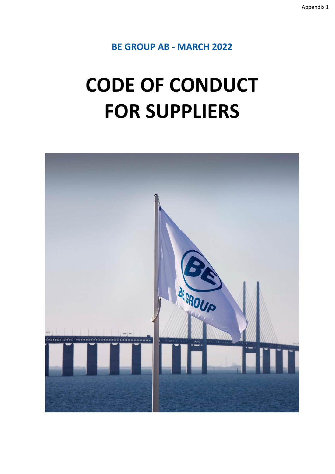**BE GROUP AB - MARCH 2022**

# **CODE OF CONDUCT FOR SUPPLIERS**

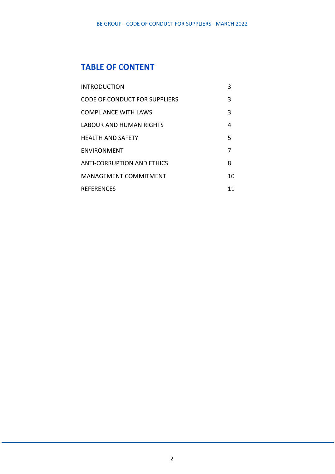## **TABLE OF CONTENT**

| <b>INTRODUCTION</b>           | 3  |
|-------------------------------|----|
| CODE OF CONDUCT FOR SUPPLIERS | 3  |
| <b>COMPLIANCE WITH LAWS</b>   | 3  |
| LABOUR AND HUMAN RIGHTS       | 4  |
| HEALTH AND SAFETY             | 5  |
| <b>ENVIRONMENT</b>            | 7  |
| ANTI-CORRUPTION AND ETHICS    | 8  |
| <b>MANAGEMENT COMMITMENT</b>  | 10 |
| <b>REFERENCES</b>             | 11 |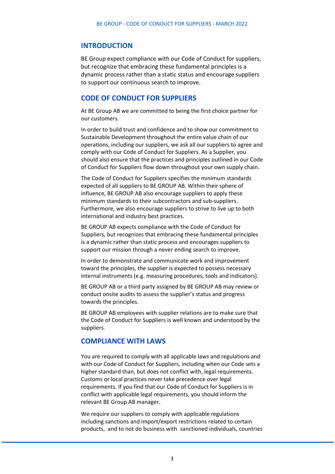## **INTRODUCTION**

BE Group expect compliance with our Code of Conduct for suppliers, but recognize that embracing these fundamental principles is a dynamic process rather than a static status and encourage suppliers to support our continuous search to improve.

## **CODE OF CONDUCT FOR SUPPLIERS**

At BE Group AB we are committed to being the first choice partner for our customers.

In order to build trust and confidence and to show our commitment to Sustainable Development throughout the entire value chain of our operations, including our suppliers, we ask all our suppliers to agree and comply with our Code of Conduct for Suppliers. As a Supplier, you should also ensure that the practices and principles outlined in our Code of Conduct for Suppliers flow down throughout your own supply chain.

The Code of Conduct for Suppliers specifies the minimum standards expected of all suppliers to BE GROUP AB. Within their sphere of influence, BE GROUP AB also encourage suppliers to apply these minimum standards to their subcontractors and sub-suppliers. Furthermore, we also encourage suppliers to strive to live up to both international and industry best practices.

BE GROUP AB expects compliance with the Code of Conduct for Suppliers, but recognizes that embracing these fundamental principles is a dynamic rather than static process and encourages suppliers to support our mission through a never ending search to improve.

In order to demonstrate and communicate work and improvement toward the principles, the supplier is expected to possess necessary internal instruments (e.g. measuring procedures, tools and indicators).

BE GROUP AB or a third party assigned by BE GROUP AB may review or conduct onsite audits to assess the supplier's status and progress towards the principles.

BE GROUP AB employees with supplier relations are to make sure that the Code of Conduct for Suppliers is well known and understood by the suppliers.

## **COMPLIANCE WITH LAWS**

You are required to comply with all applicable laws and regulations and with our Code of Conduct for Suppliers, including when our Code sets a higher standard than, but does not conflict with, legal requirements. Customs or local practices never take precedence over legal requirements. If you find that our Code of Conduct for Suppliers is in conflict with applicable legal requirements, you should inform the relevant BE Group AB manager.

We require our suppliers to comply with applicable regulations including sanctions and import/export restrictions related to certain products, and to not do business with sanctioned individuals, countries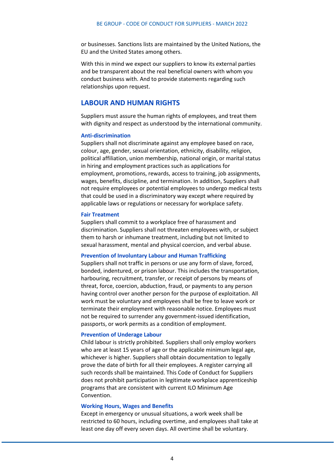or businesses. Sanctions lists are maintained by the United Nations, the EU and the United States among others.

With this in mind we expect our suppliers to know its external parties and be transparent about the real beneficial owners with whom you conduct business with. And to provide statements regarding such relationships upon request.

## **LABOUR AND HUMAN RIGHTS**

Suppliers must assure the human rights of employees, and treat them with dignity and respect as understood by the international community.

#### **Anti-discrimination**

Suppliers shall not discriminate against any employee based on race, colour, age, gender, sexual orientation, ethnicity, disability, religion, political affiliation, union membership, national origin, or marital status in hiring and employment practices such as applications for employment, promotions, rewards, access to training, job assignments, wages, benefits, discipline, and termination. In addition, Suppliers shall not require employees or potential employees to undergo medical tests that could be used in a discriminatory way except where required by applicable laws or regulations or necessary for workplace safety.

#### **Fair Treatment**

Suppliers shall commit to a workplace free of harassment and discrimination. Suppliers shall not threaten employees with, or subject them to harsh or inhumane treatment, including but not limited to sexual harassment, mental and physical coercion, and verbal abuse.

#### **Prevention of Involuntary Labour and Human Trafficking**

Suppliers shall not traffic in persons or use any form of slave, forced, bonded, indentured, or prison labour. This includes the transportation, harbouring, recruitment, transfer, or receipt of persons by means of threat, force, coercion, abduction, fraud, or payments to any person having control over another person for the purpose of exploitation. All work must be voluntary and employees shall be free to leave work or terminate their employment with reasonable notice. Employees must not be required to surrender any government-issued identification, passports, or work permits as a condition of employment.

## **Prevention of Underage Labour**

Child labour is strictly prohibited. Suppliers shall only employ workers who are at least 15 years of age or the applicable minimum legal age, whichever is higher. Suppliers shall obtain documentation to legally prove the date of birth for all their employees. A register carrying all such records shall be maintained. This Code of Conduct for Suppliers does not prohibit participation in legitimate workplace apprenticeship programs that are consistent with current ILO Minimum Age Convention.

#### **Working Hours, Wages and Benefits**

Except in emergency or unusual situations, a work week shall be restricted to 60 hours, including overtime, and employees shall take at least one day off every seven days. All overtime shall be voluntary.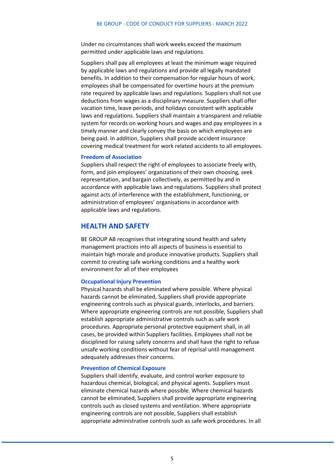Under no circumstances shall work weeks exceed the maximum permitted under applicable laws and regulations.

Suppliers shall pay all employees at least the minimum wage required by applicable laws and regulations and provide all legally mandated benefits. In addition to their compensation for regular hours of work, employees shall be compensated for overtime hours at the premium rate required by applicable laws and regulations. Suppliers shall not use deductions from wages as a disciplinary measure. Suppliers shall offer vacation time, leave periods, and holidays consistent with applicable laws and regulations. Suppliers shall maintain a transparent and reliable system for records on working hours and wages and pay employees in a timely manner and clearly convey the basis on which employees are being paid. In addition, Suppliers shall provide accident insurance covering medical treatment for work related accidents to all employees.

## **Freedom of Association**

Suppliers shall respect the right of employees to associate freely with, form, and join employees' organizations of their own choosing, seek representation, and bargain collectively, as permitted by and in accordance with applicable laws and regulations. Suppliers shall protect against acts of interference with the establishment, functioning, or administration of employees' organisations in accordance with applicable laws and regulations.

## **HEALTH AND SAFETY**

BE GROUP AB recognises that integrating sound health and safety management practices into all aspects of business is essential to maintain high morale and produce innovative products. Suppliers shall commit to creating safe working conditions and a healthy work environment for all of their employees

#### **Occupational Injury Prevention**

Physical hazards shall be eliminated where possible. Where physical hazards cannot be eliminated, Suppliers shall provide appropriate engineering controls such as physical guards, interlocks, and barriers. Where appropriate engineering controls are not possible, Suppliers shall establish appropriate administrative controls such as safe work procedures. Appropriate personal protective equipment shall, in all cases, be provided within Suppliers facilities. Employees shall not be disciplined for raising safety concerns and shall have the right to refuse unsafe working conditions without fear of reprisal until management adequately addresses their concerns.

#### **Prevention of Chemical Exposure**

Suppliers shall identify, evaluate, and control worker exposure to hazardous chemical, biological, and physical agents. Suppliers must eliminate chemical hazards where possible. Where chemical hazards cannot be eliminated, Suppliers shall provide appropriate engineering controls such as closed systems and ventilation. Where appropriate engineering controls are not possible, Suppliers shall establish appropriate administrative controls such as safe work procedures. In all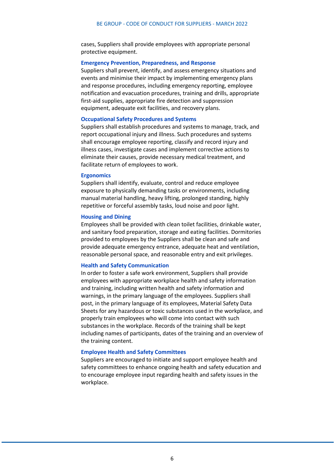cases, Suppliers shall provide employees with appropriate personal protective equipment.

#### **Emergency Prevention, Preparedness, and Response**

Suppliers shall prevent, identify, and assess emergency situations and events and minimise their impact by implementing emergency plans and response procedures, including emergency reporting, employee notification and evacuation procedures, training and drills, appropriate first-aid supplies, appropriate fire detection and suppression equipment, adequate exit facilities, and recovery plans.

#### **Occupational Safety Procedures and Systems**

Suppliers shall establish procedures and systems to manage, track, and report occupational injury and illness. Such procedures and systems shall encourage employee reporting, classify and record injury and illness cases, investigate cases and implement corrective actions to eliminate their causes, provide necessary medical treatment, and facilitate return of employees to work.

#### **Ergonomics**

Suppliers shall identify, evaluate, control and reduce employee exposure to physically demanding tasks or environments, including manual material handling, heavy lifting, prolonged standing, highly repetitive or forceful assembly tasks, loud noise and poor light.

#### **Housing and Dining**

Employees shall be provided with clean toilet facilities, drinkable water, and sanitary food preparation, storage and eating facilities. Dormitories provided to employees by the Suppliers shall be clean and safe and provide adequate emergency entrance, adequate heat and ventilation, reasonable personal space, and reasonable entry and exit privileges.

#### **Health and Safety Communication**

In order to foster a safe work environment, Suppliers shall provide employees with appropriate workplace health and safety information and training, including written health and safety information and warnings, in the primary language of the employees. Suppliers shall post, in the primary language of its employees, Material Safety Data Sheets for any hazardous or toxic substances used in the workplace, and properly train employees who will come into contact with such substances in the workplace. Records of the training shall be kept including names of participants, dates of the training and an overview of the training content.

#### **Employee Health and Safety Committees**

Suppliers are encouraged to initiate and support employee health and safety committees to enhance ongoing health and safety education and to encourage employee input regarding health and safety issues in the workplace.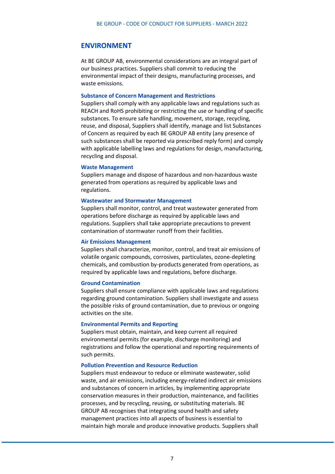## **ENVIRONMENT**

At BE GROUP AB, environmental considerations are an integral part of our business practices. Suppliers shall commit to reducing the environmental impact of their designs, manufacturing processes, and waste emissions.

#### **Substance of Concern Management and Restrictions**

Suppliers shall comply with any applicable laws and regulations such as REACH and RoHS prohibiting or restricting the use or handling of specific substances. To ensure safe handling, movement, storage, recycling, reuse, and disposal, Suppliers shall identify, manage and list Substances of Concern as required by each BE GROUP AB entity (any presence of such substances shall be reported via prescribed reply form) and comply with applicable labelling laws and regulations for design, manufacturing, recycling and disposal.

#### **Waste Management**

Suppliers manage and dispose of hazardous and non-hazardous waste generated from operations as required by applicable laws and regulations.

#### **Wastewater and Stormwater Management**

Suppliers shall monitor, control, and treat wastewater generated from operations before discharge as required by applicable laws and regulations. Suppliers shall take appropriate precautions to prevent contamination of stormwater runoff from their facilities.

#### **Air Emissions Management**

Suppliers shall characterize, monitor, control, and treat air emissions of volatile organic compounds, corrosives, particulates, ozone-depleting chemicals, and combustion by-products generated from operations, as required by applicable laws and regulations, before discharge.

#### **Ground Contamination**

Suppliers shall ensure compliance with applicable laws and regulations regarding ground contamination. Suppliers shall investigate and assess the possible risks of ground contamination, due to previous or ongoing activities on the site.

#### **Environmental Permits and Reporting**

Suppliers must obtain, maintain, and keep current all required environmental permits (for example, discharge monitoring) and registrations and follow the operational and reporting requirements of such permits.

#### **Pollution Prevention and Resource Reduction**

Suppliers must endeavour to reduce or eliminate wastewater, solid waste, and air emissions, including energy-related indirect air emissions and substances of concern in articles, by implementing appropriate conservation measures in their production, maintenance, and facilities processes, and by recycling, reusing, or substituting materials. BE GROUP AB recognises that integrating sound health and safety management practices into all aspects of business is essential to maintain high morale and produce innovative products. Suppliers shall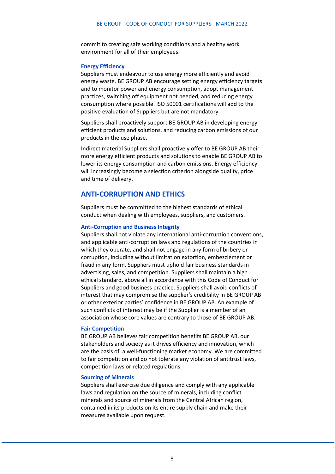commit to creating safe working conditions and a healthy work environment for all of their employees.

#### **Energy Efficiency**

Suppliers must endeavour to use energy more efficiently and avoid energy waste. BE GROUP AB encourage setting energy efficiency targets and to monitor power and energy consumption, adopt management practices, switching off equipment not needed, and reducing energy consumption where possible. ISO 50001 certifications will add to the positive evaluation of Suppliers but are not mandatory.

Suppliers shall proactively support BE GROUP AB in developing energy efficient products and solutions. and reducing carbon emissions of our products in the use phase.

Indirect material Suppliers shall proactively offer to BE GROUP AB their more energy efficient products and solutions to enable BE GROUP AB to lower its energy consumption and carbon emissions. Energy efficiency will increasingly become a selection criterion alongside quality, price and time of delivery.

## **ANTI-CORRUPTION AND ETHICS**

Suppliers must be committed to the highest standards of ethical conduct when dealing with employees, suppliers, and customers.

#### **Anti-Corruption and Business Integrity**

Suppliers shall not violate any international anti-corruption conventions, and applicable anti-corruption laws and regulations of the countries in which they operate, and shall not engage in any form of bribery or corruption, including without limitation extortion, embezzlement or fraud in any form. Suppliers must uphold fair business standards in advertising, sales, and competition. Suppliers shall maintain a high ethical standard, above all in accordance with this Code of Conduct for Suppliers and good business practice. Suppliers shall avoid conflicts of interest that may compromise the supplier's credibility in BE GROUP AB or other exterior parties' confidence in BE GROUP AB. An example of such conflicts of interest may be if the Supplier is a member of an association whose core values are contrary to those of BE GROUP AB.

#### **Fair Competition**

BE GROUP AB believes fair competition benefits BE GROUP AB, our stakeholders and society as it drives efficiency and innovation, which are the basis of a well-functioning market economy. We are committed to fair competition and do not tolerate any violation of antitrust laws, competition laws or related regulations.

#### **Sourcing of Minerals**

Suppliers shall exercise due diligence and comply with any applicable laws and regulation on the source of minerals, including conflict minerals and source of minerals from the Central African region, contained in its products on its entire supply chain and make their measures available upon request.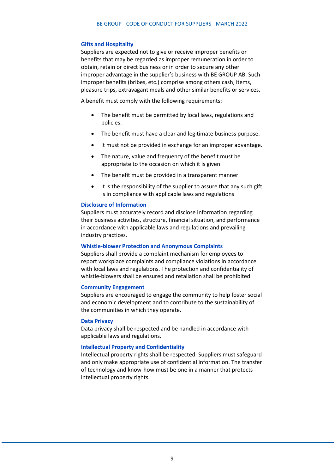#### **Gifts and Hospitality**

Suppliers are expected not to give or receive improper benefits or benefits that may be regarded as improper remuneration in order to obtain, retain or direct business or in order to secure any other improper advantage in the supplier's business with BE GROUP AB. Such improper benefits (bribes, etc.) comprise among others cash, items, pleasure trips, extravagant meals and other similar benefits or services.

A benefit must comply with the following requirements:

- The benefit must be permitted by local laws, regulations and policies.
- The benefit must have a clear and legitimate business purpose.
- It must not be provided in exchange for an improper advantage.
- The nature, value and frequency of the benefit must be appropriate to the occasion on which it is given.
- The benefit must be provided in a transparent manner.
- It is the responsibility of the supplier to assure that any such gift is in compliance with applicable laws and regulations

#### **Disclosure of Information**

Suppliers must accurately record and disclose information regarding their business activities, structure, financial situation, and performance in accordance with applicable laws and regulations and prevailing industry practices.

#### **Whistle-blower Protection and Anonymous Complaints**

Suppliers shall provide a complaint mechanism for employees to report workplace complaints and compliance violations in accordance with local laws and regulations. The protection and confidentiality of whistle-blowers shall be ensured and retaliation shall be prohibited.

#### **Community Engagement**

Suppliers are encouraged to engage the community to help foster social and economic development and to contribute to the sustainability of the communities in which they operate.

#### **Data Privacy**

Data privacy shall be respected and be handled in accordance with applicable laws and regulations.

#### **Intellectual Property and Confidentiality**

Intellectual property rights shall be respected. Suppliers must safeguard and only make appropriate use of confidential information. The transfer of technology and know-how must be one in a manner that protects intellectual property rights.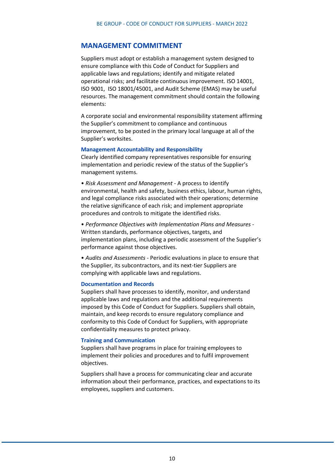## **MANAGEMENT COMMITMENT**

Suppliers must adopt or establish a management system designed to ensure compliance with this Code of Conduct for Suppliers and applicable laws and regulations; identify and mitigate related operational risks; and facilitate continuous improvement. ISO 14001, ISO 9001, ISO 18001/45001, and Audit Scheme (EMAS) may be useful resources. The management commitment should contain the following elements:

A corporate social and environmental responsibility statement affirming the Supplier's commitment to compliance and continuous improvement, to be posted in the primary local language at all of the Supplier's worksites.

#### **Management Accountability and Responsibility**

Clearly identified company representatives responsible for ensuring implementation and periodic review of the status of the Supplier's management systems.

• *Risk Assessment and Management* - A process to identify environmental, health and safety, business ethics, labour, human rights, and legal compliance risks associated with their operations; determine the relative significance of each risk; and implement appropriate procedures and controls to mitigate the identified risks.

• *Performance Objectives with Implementation Plans and Measures* - Written standards, performance objectives, targets, and implementation plans, including a periodic assessment of the Supplier's performance against those objectives.

• *Audits and Assessments* - Periodic evaluations in place to ensure that the Supplier, its subcontractors, and its next-tier Suppliers are complying with applicable laws and regulations.

#### **Documentation and Records**

Suppliers shall have processes to identify, monitor, and understand applicable laws and regulations and the additional requirements imposed by this Code of Conduct for Suppliers. Suppliers shall obtain, maintain, and keep records to ensure regulatory compliance and conformity to this Code of Conduct for Suppliers, with appropriate confidentiality measures to protect privacy.

#### **Training and Communication**

Suppliers shall have programs in place for training employees to implement their policies and procedures and to fulfil improvement objectives.

Suppliers shall have a process for communicating clear and accurate information about their performance, practices, and expectations to its employees, suppliers and customers.